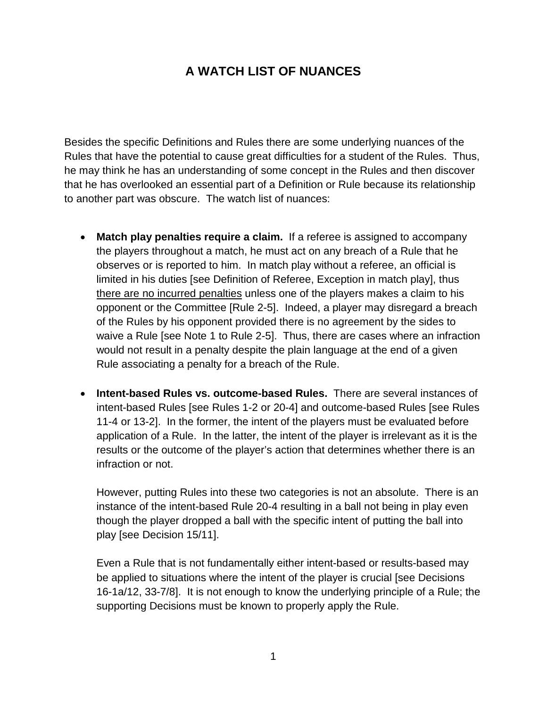## **A WATCH LIST OF NUANCES**

Besides the specific Definitions and Rules there are some underlying nuances of the Rules that have the potential to cause great difficulties for a student of the Rules. Thus, he may think he has an understanding of some concept in the Rules and then discover that he has overlooked an essential part of a Definition or Rule because its relationship to another part was obscure. The watch list of nuances:

- **Match play penalties require a claim.** If a referee is assigned to accompany the players throughout a match, he must act on any breach of a Rule that he observes or is reported to him. In match play without a referee, an official is limited in his duties [see Definition of Referee, Exception in match play], thus there are no incurred penalties unless one of the players makes a claim to his opponent or the Committee [Rule 2-5]. Indeed, a player may disregard a breach of the Rules by his opponent provided there is no agreement by the sides to waive a Rule [see Note 1 to Rule 2-5]. Thus, there are cases where an infraction would not result in a penalty despite the plain language at the end of a given Rule associating a penalty for a breach of the Rule.
- **Intent-based Rules vs. outcome-based Rules.** There are several instances of intent-based Rules [see Rules 1-2 or 20-4] and outcome-based Rules [see Rules 11-4 or 13-2]. In the former, the intent of the players must be evaluated before application of a Rule. In the latter, the intent of the player is irrelevant as it is the results or the outcome of the player's action that determines whether there is an infraction or not.

However, putting Rules into these two categories is not an absolute. There is an instance of the intent-based Rule 20-4 resulting in a ball not being in play even though the player dropped a ball with the specific intent of putting the ball into play [see Decision 15/11].

Even a Rule that is not fundamentally either intent-based or results-based may be applied to situations where the intent of the player is crucial [see Decisions 16-1a/12, 33-7/8]. It is not enough to know the underlying principle of a Rule; the supporting Decisions must be known to properly apply the Rule.